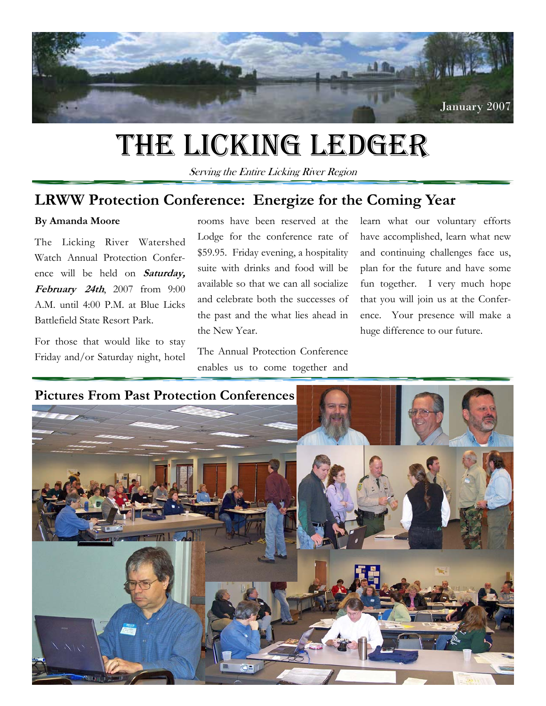

## THE LICKING LEDGER

Serving the Entire Licking River Region

## **LRWW Protection Conference: Energize for the Coming Year**

#### **By Amanda Moore**

The Licking River Watershed Watch Annual Protection Conference will be held on **Saturday, February 24th**, 2007 from 9:00 A.M. until 4:00 P.M. at Blue Licks Battlefield State Resort Park.

For those that would like to stay Friday and/or Saturday night, hotel rooms have been reserved at the Lodge for the conference rate of \$59.95. Friday evening, a hospitality suite with drinks and food will be available so that we can all socialize and celebrate both the successes of the past and the what lies ahead in the New Year.

The Annual Protection Conference enables us to come together and learn what our voluntary efforts have accomplished, learn what new and continuing challenges face us, plan for the future and have some fun together. I very much hope that you will join us at the Conference. Your presence will make a huge difference to our future.

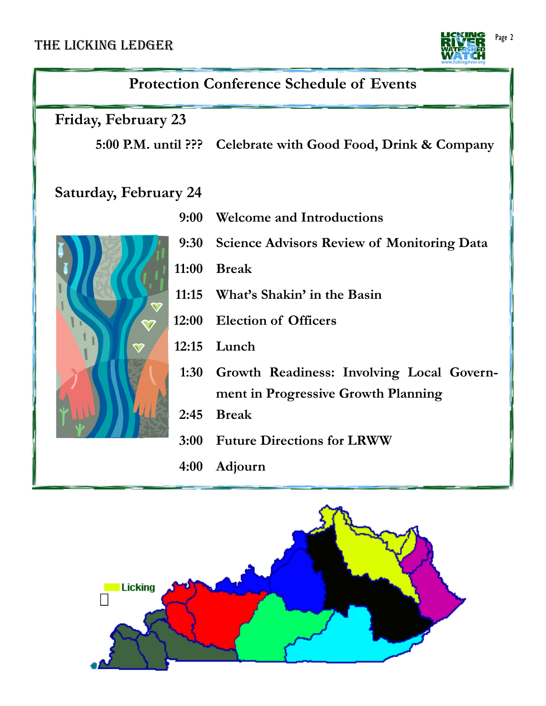### THE LICKING LEDGER



## **Protection Conference Schedule of Events**

**Friday, February 23** 

**5:00 P.M. until ??? Celebrate with Good Food, Drink & Company** 

## **Saturday, February 24**

- **9:00 Welcome and Introductions**
- **9:30 Science Advisors Review of Monitoring Data**
- **11:00 Break 11:15 What's Shakin' in the Basin** 
	- **12:00 Election of Officers**
	- **12:15 Lunch**
	- **1:30 Growth Readiness: Involving Local Government in Progressive Growth Planning**
	- **2:45 Break**
	- **3:00 Future Directions for LRWW**
	- **4:00 Adjourn**



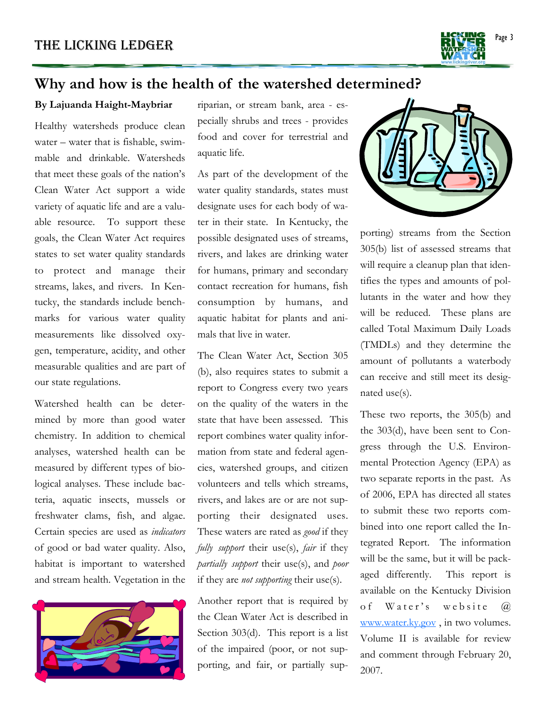

## **Why and how is the health of the watershed determined?**

#### **By Lajuanda Haight-Maybriar**

Healthy watersheds produce clean water – water that is fishable, swimmable and drinkable. Watersheds that meet these goals of the nation's Clean Water Act support a wide variety of aquatic life and are a valuable resource. To support these goals, the Clean Water Act requires states to set water quality standards to protect and manage their streams, lakes, and rivers. In Kentucky, the standards include benchmarks for various water quality measurements like dissolved oxygen, temperature, acidity, and other measurable qualities and are part of our state regulations.

Watershed health can be determined by more than good water chemistry. In addition to chemical analyses, watershed health can be measured by different types of biological analyses. These include bacteria, aquatic insects, mussels or freshwater clams, fish, and algae. Certain species are used as *indicators*  of good or bad water quality. Also, habitat is important to watershed and stream health. Vegetation in the



riparian, or stream bank, area - especially shrubs and trees - provides food and cover for terrestrial and aquatic life.

As part of the development of the water quality standards, states must designate uses for each body of water in their state. In Kentucky, the possible designated uses of streams, rivers, and lakes are drinking water for humans, primary and secondary contact recreation for humans, fish consumption by humans, and aquatic habitat for plants and animals that live in water.

The Clean Water Act, Section 305 (b), also requires states to submit a report to Congress every two years on the quality of the waters in the state that have been assessed. This report combines water quality information from state and federal agencies, watershed groups, and citizen volunteers and tells which streams, rivers, and lakes are or are not supporting their designated uses. These waters are rated as *good* if they *fully support* their use(s), *fair* if they *partially support* their use(s), and *poor* if they are *not supporting* their use(s).

Another report that is required by the Clean Water Act is described in Section 303(d). This report is a list of the impaired (poor, or not supporting, and fair, or partially sup-



porting) streams from the Section 305(b) list of assessed streams that will require a cleanup plan that identifies the types and amounts of pollutants in the water and how they will be reduced. These plans are called Total Maximum Daily Loads (TMDLs) and they determine the amount of pollutants a waterbody can receive and still meet its designated use(s).

These two reports, the 305(b) and the 303(d), have been sent to Congress through the U.S. Environmental Protection Agency (EPA) as two separate reports in the past. As of 2006, EPA has directed all states to submit these two reports combined into one report called the Integrated Report. The information will be the same, but it will be packaged differently. This report is available on the Kentucky Division of Water's website  $\omega$ www.water.ky.gov , in two volumes. Volume II is available for review and comment through February 20, 2007.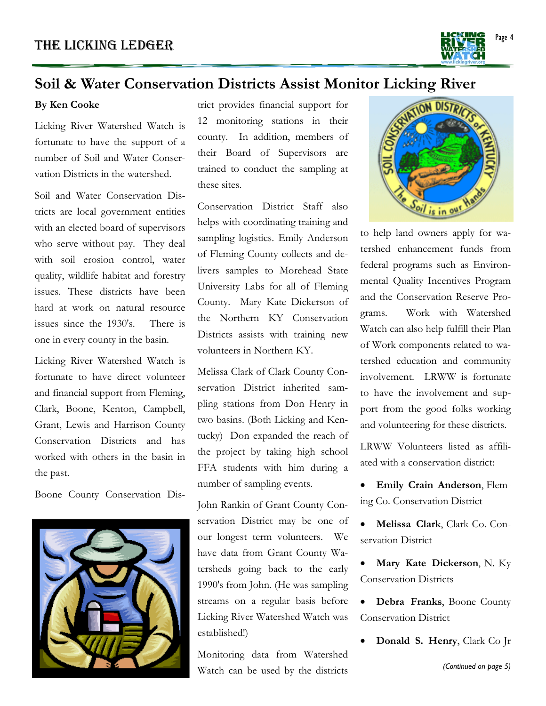

### **Soil & Water Conservation Districts Assist Monitor Licking River**

#### **By Ken Cooke**

Licking River Watershed Watch is fortunate to have the support of a number of Soil and Water Conservation Districts in the watershed.

Soil and Water Conservation Districts are local government entities with an elected board of supervisors who serve without pay. They deal with soil erosion control, water quality, wildlife habitat and forestry issues. These districts have been hard at work on natural resource issues since the 1930's. There is one in every county in the basin.

Licking River Watershed Watch is fortunate to have direct volunteer and financial support from Fleming, Clark, Boone, Kenton, Campbell, Grant, Lewis and Harrison County Conservation Districts and has worked with others in the basin in the past.

Boone County Conservation Dis-



trict provides financial support for 12 monitoring stations in their county. In addition, members of their Board of Supervisors are trained to conduct the sampling at these sites.

Conservation District Staff also helps with coordinating training and sampling logistics. Emily Anderson of Fleming County collects and delivers samples to Morehead State University Labs for all of Fleming County. Mary Kate Dickerson of the Northern KY Conservation Districts assists with training new volunteers in Northern KY.

Melissa Clark of Clark County Conservation District inherited sampling stations from Don Henry in two basins. (Both Licking and Kentucky) Don expanded the reach of the project by taking high school FFA students with him during a number of sampling events.

John Rankin of Grant County Conservation District may be one of our longest term volunteers. We have data from Grant County Watersheds going back to the early 1990's from John. (He was sampling streams on a regular basis before Licking River Watershed Watch was established!)

 Watch can be used by the districts Monitoring data from Watershed



to help land owners apply for watershed enhancement funds from federal programs such as Environmental Quality Incentives Program and the Conservation Reserve Programs. Work with Watershed Watch can also help fulfill their Plan of Work components related to watershed education and community involvement. LRWW is fortunate to have the involvement and support from the good folks working and volunteering for these districts.

LRWW Volunteers listed as affiliated with a conservation district:

- **Emily Crain Anderson**, Fleming Co. Conservation District
- **Melissa Clark**, Clark Co. Conservation District
- **Mary Kate Dickerson**, N. Ky Conservation Districts
- **Debra Franks**, Boone County Conservation District
- **Donald S. Henry**, Clark Co Jr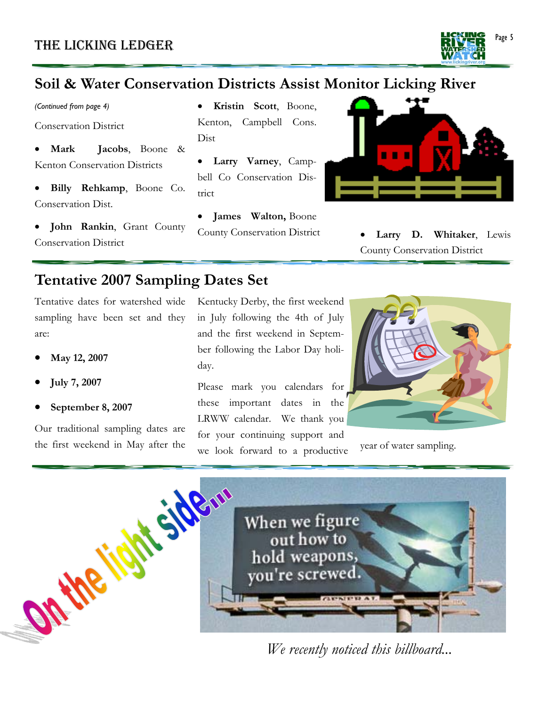

*(Continued from page 4)* 

Conservation District

- **Mark Jacobs**, Boone & Kenton Conservation Districts
- **Billy Rehkamp**, Boone Co. Conservation Dist.
- **John Rankin**, Grant County Conservation District
- **Kristin Scott**, Boone, Kenton, Campbell Cons. Dist
- **Larry Varney**, Campbell Co Conservation District
- **James Walton,** Boone



County Conservation District • **Larry D. Whitaker**, Lewis County Conservation District

## **Tentative 2007 Sampling Dates Set**

Tentative dates for watershed wide sampling have been set and they are:

- **May 12, 2007**
- **July 7, 2007**
- **September 8, 2007**

Our traditional sampling dates are the first weekend in May after the Kentucky Derby, the first weekend in July following the 4th of July and the first weekend in September following the Labor Day holiday.

Please mark you calendars for these important dates in the LRWW calendar. We thank you for your continuing support and we look forward to a productive year of water sampling.





*We recently noticed this billboard...*